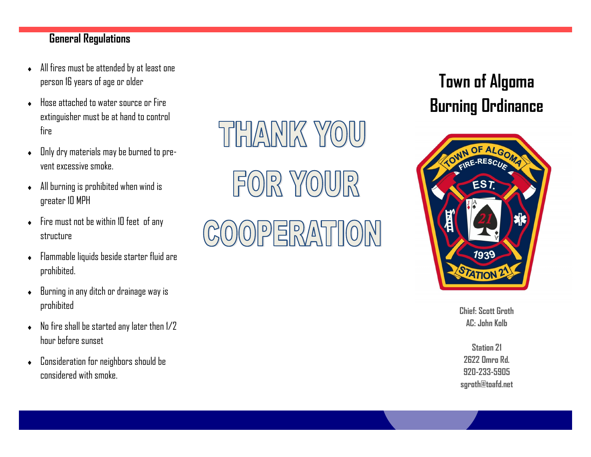## **General Regulations**

- All fires must be attended by at least one person 16 years of age or older
- ◆ Hose attached to water source or Fire extinguisher must be at hand to control fire
- $\bullet$  Dnly dry materials may be burned to prevent excessive smoke.
- All burning is prohibited when wind is greater 10 MPH
- Fire must not be within 10 feet of any structure
- Flammable liquids beside starter fluid are prohibited.
- Burning in any ditch or drainage way is prohibited
- $\bullet$  No fire shall be started any later then  $1/2$ hour before sunset
- Consideration for neighbors should be considered with smoke.

THANK YOU  $F(0)R$  Y $(0)$ UJR

## OPERATION

## **Town of Algoma Burning Ordinance**



**Chief: Scott Groth AC: John Kolb**

**Station 21 2622 Omro Rd. 920 -233 -5905 sgroth@toafd.net**